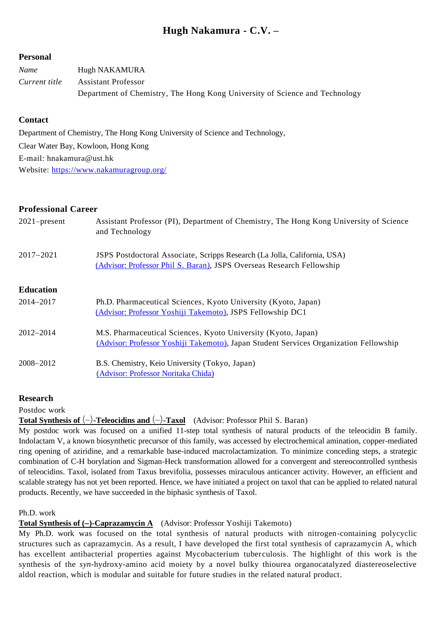# **Hugh Nakamura - C.V. –**

### **Personal**

| Name          | Hugh NAKAMURA                                                               |
|---------------|-----------------------------------------------------------------------------|
| Current title | <b>Assistant Professor</b>                                                  |
|               | Department of Chemistry, The Hong Kong University of Science and Technology |

# **Contact**

Department of Chemistry, The Hong Kong University of Science and Technology, Clear Water Bay, Kowloon, Hong Kong E-mail: hnakamura@ust.hk Website:<https://www.nakamuragroup.org/>

# **Professional Career**

| Assistant Professor (PI), Department of Chemistry, The Hong Kong University of Science<br>and Technology                                           |
|----------------------------------------------------------------------------------------------------------------------------------------------------|
| JSPS Postdoctoral Associate, Scripps Research (La Jolla, California, USA)<br>(Advisor: Professor Phil S. Baran), JSPS Overseas Research Fellowship |
|                                                                                                                                                    |
| Ph.D. Pharmaceutical Sciences, Kyoto University (Kyoto, Japan)                                                                                     |
| (Advisor: Professor Yoshiji Takemoto), JSPS Fellowship DC1                                                                                         |
| M.S. Pharmaceutical Sciences, Kyoto University (Kyoto, Japan)                                                                                      |
| (Advisor: Professor Yoshiji Takemoto), Japan Student Services Organization Fellowship                                                              |
| B.S. Chemistry, Keio University (Tokyo, Japan)                                                                                                     |
| (Advisor: Professor Noritaka Chida)                                                                                                                |
|                                                                                                                                                    |

# **Research**

Postdoc work

**Total Synthesis of** (–)**-Teleocidins and** (–)**-Taxol** (Advisor: Professor Phil S. Baran)

My postdoc work was focused on a unified 11-step total synthesis of natural products of the teleocidin B family. Indolactam V, a known biosynthetic precursor of this family, was accessed by electrochemical amination, copper-mediated ring opening of aziridine, and a remarkable base-induced macrolactamization. To minimize conceding steps, a strategic combination of C-H borylation and Sigman-Heck transformation allowed for a convergent and stereocontrolled synthesis of teleocidins. Taxol, isolated from Taxus brevifolia, possesses miraculous anticancer activity. However, an efficient and scalable strategy has not yet been reported. Hence, we have initiated a project on taxol that can be applied to related natural products. Recently, we have succeeded in the biphasic synthesis of Taxol.

Ph.D. work

**Total Synthesis of (**−**)-Caprazamycin A** (Advisor: Professor Yoshiji Takemoto)

My Ph.D. work was focused on the total synthesis of natural products with nitrogen-containing polycyclic structures such as caprazamycin. As a result, I have developed the first total synthesis of caprazamycin A, which has excellent antibacterial properties against Mycobacterium tuberculosis. The highlight of this work is the synthesis of the *syn*-hydroxy-amino acid moiety by a novel bulky thiourea organocatalyzed diastereoselective aldol reaction, which is modular and suitable for future studies in the related natural product.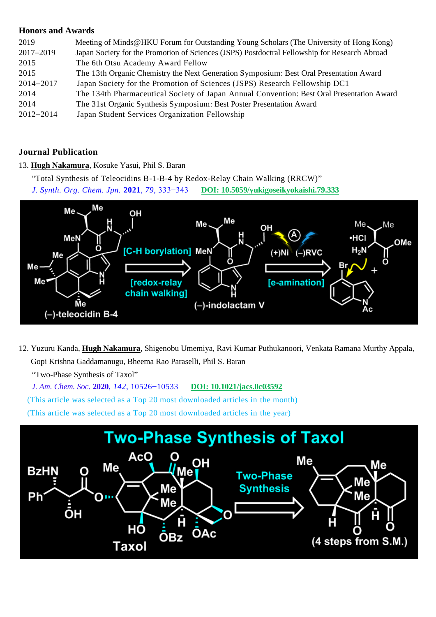# **Honors and Awards**

| 2019          | Meeting of Minds@HKU Forum for Outstanding Young Scholars (The University of Hong Kong)       |
|---------------|-----------------------------------------------------------------------------------------------|
| 2017-2019     | Japan Society for the Promotion of Sciences (JSPS) Postdoctral Fellowship for Research Abroad |
| 2015          | The 6th Otsu Academy Award Fellow                                                             |
| 2015          | The 13th Organic Chemistry the Next Generation Symposium: Best Oral Presentation Award        |
| 2014-2017     | Japan Society for the Promotion of Sciences (JSPS) Research Fellowship DC1                    |
| 2014          | The 134th Pharmaceutical Society of Japan Annual Convention: Best Oral Presentation Award     |
| 2014          | The 31st Organic Synthesis Symposium: Best Poster Presentation Award                          |
| $2012 - 2014$ | Japan Student Services Organization Fellowship                                                |

# **Journal Publication**

13. **Hugh Nakamura**, Kosuke Yasui, Phil S. Baran

"Total Synthesis of Teleocidins B-1-B-4 by Redox-Relay Chain Walking (RRCW)" *J. Synth. Org. Chem. Jpn.* **2021**, *79*, 333−343 **[DOI: 10.5059/yukigoseikyokaishi.79.333](https://www.jstage.jst.go.jp/article/yukigoseikyokaishi/79/4/79_333/_article/-char/en)**



12. Yuzuru Kanda, **Hugh Nakamura**, Shigenobu Umemiya, Ravi Kumar Puthukanoori, Venkata Ramana Murthy Appala, Gopi Krishna Gaddamanugu, Bheema Rao Paraselli, Phil S. Baran

"Two-Phase Synthesis of Taxol"

*J. Am. Chem. Soc.* **2020**, *142*, 10526−10533 **[DOI: 10.1021/jacs.0c03592](https://pubs.acs.org/doi/10.1021/jacs.0c03592)**

(This article was selected as a Top 20 most downloaded articles in the month)

(This article was selected as a Top 20 most downloaded articles in the year)

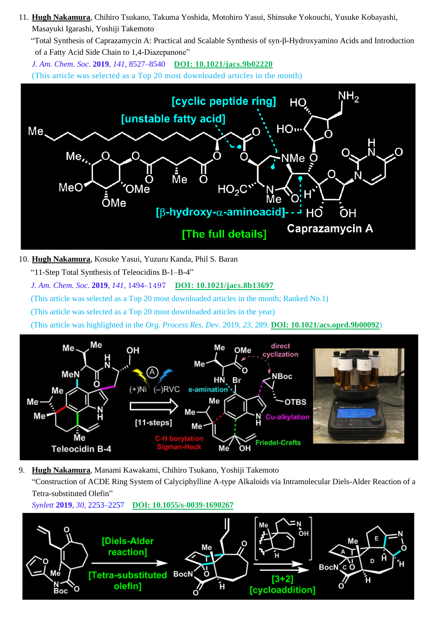11. **Hugh Nakamura**, Chihiro Tsukano, Takuma Yoshida, Motohiro Yasui, Shinsuke Yokouchi, Yusuke Kobayashi, Masayuki Igarashi, Yoshiji Takemoto

"Total Synthesis of Caprazamycin A: Practical and Scalable Synthesis of syn-β-Hydroxyamino Acids and Introduction of a Fatty Acid Side Chain to 1,4-Diazepanone"

*J. Am. Chem. Soc.* **2019**, *141*, 8527–8540 **DOI: [10.1021/jacs.9b02220](https://pubs.acs.org/doi/10.1021/jacs.9b02220)** (This article was selected as a Top 20 most downloaded articles in the month)



10. **Hugh Nakamura**, Kosuke Yasui, Yuzuru Kanda, Phil S. Baran

"11-Step Total Synthesis of Teleocidins B-1–B-4"

*J. Am. Chem. Soc.* **2019**, *141*, 1494–1497 **[DOI: 10.1021/jacs.8b13697](https://pubs.acs.org/doi/10.1021/jacs.8b13697)**

(This article was selected as a Top 20 most downloaded articles in the month; Ranked No.1)

(This article was selected as a Top 20 most downloaded articles in the year)

(This article was highlighted in the *Org. Process Res. Dev*. 2019, *23*, 289. **[DOI: 10.1021/acs.oprd.9b00092](https://pubs.acs.org/doi/10.1021/acs.oprd.9b00092)**)



9. **Hugh Nakamura**, Manami Kawakami, Chihiro Tsukano, Yoshiji Takemoto "Construction of ACDE Ring System of Calyciphylline A-type Alkaloids via Intramolecular Diels-Alder Reaction of a Tetra-substituted Olefin"

*Synlett* **2019**, *30*, 2253–2257**[DOI: 10.1055/s-0039-1690267](https://www.thieme-connect.com/products/ejournals/abstract/10.1055/s-0039-1690267)**

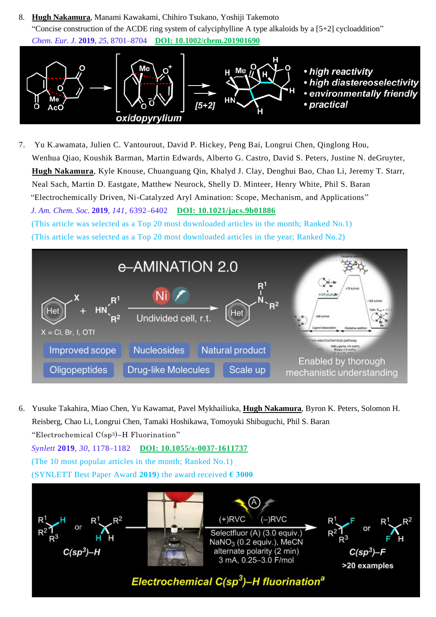8. **Hugh Nakamura**, Manami Kawakami, Chihiro Tsukano, Yoshiji Takemoto "Concise construction of the ACDE ring system of calver option alkaloids by a  $[5+2]$  cycloaddition" *Chem. Eur. J.* **2019**, *25*, 8701–8704 **[DOI: 10.1002/chem.201901690](https://chemistry-europe.onlinelibrary.wiley.com/doi/10.1002/chem.201901690)**



7. Yu K.awamata, Julien C. Vantourout, David P. Hickey, Peng Bai, Longrui Chen, Qinglong Hou, Wenhua Qiao, Koushik Barman, Martin Edwards, Alberto G. Castro, David S. Peters, Justine N. deGruyter, **Hugh Nakamura**, Kyle Knouse, Chuanguang Qin, Khalyd J. Clay, Denghui Bao, Chao Li, Jeremy T. Starr, Neal Sach, Martin D. Eastgate, Matthew Neurock, Shelly D. Minteer, Henry White, Phil S. Baran "Electrochemically Driven, Ni-Catalyzed Aryl Amination: Scope, Mechanism, and Applications" *J. Am. Chem. Soc.* **2019**, *141*, 6392–6402 **[DOI: 10.1021/jacs.9b01886](https://pubs.acs.org/doi/10.1021/jacs.9b01886)** (This article was selected as a Top 20 most downloaded articles in the month; Ranked No.1) (This article was selected as a Top 20 most downloaded articles in the year; Ranked No.2)



6. Yusuke Takahira, Miao Chen, Yu Kawamat, Pavel Mykhailiuka, **Hugh Nakamura**, Byron K. Peters, Solomon H. Reisberg, Chao Li, Longrui Chen, Tamaki Hoshikawa, Tomoyuki Shibuguchi, Phil S. Baran "Electrochemical C(sp3)–H Fluorination" *Synlett* **2019**, *30*, 1178–1182 **[DOI: 10.1055/s-0037-1611737](https://www.thieme-connect.de/products/ejournals/abstract/10.1055/s-0037-1611737)** (The 10 most popular articles in the month; Ranked No.1) (SYNLETT Best Paper Award **2019**) the award received **€ 3000**

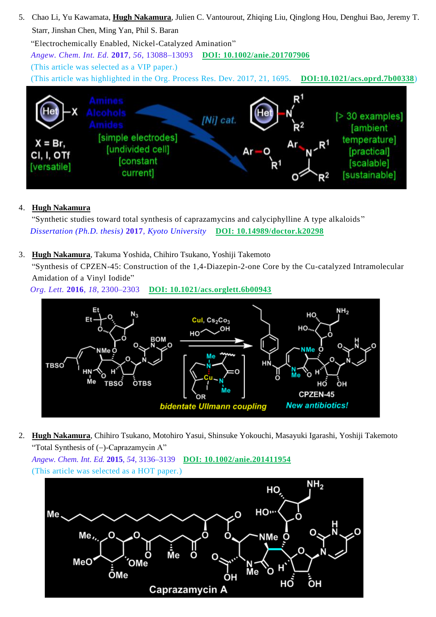5. Chao Li, Yu Kawamata, **Hugh Nakamura**, Julien C. Vantourout, Zhiqing Liu, Qinglong Hou, Denghui Bao, Jeremy T. Starr, Jinshan Chen, Ming Yan, Phil S. Baran "Electrochemically Enabled, Nickel-Catalyzed Amination" *Angew. Chem. Int. Ed.* **2017**, *56*, 13088–13093 **[DOI: 10.1002/anie.201707906](https://onlinelibrary.wiley.com/doi/full/10.1002/anie.201707906)** (This article was selected as a VIP paper.) (This article was highlighted in the Org. Process Res. Dev. 2017, 21, 1695. **[DOI:10.1021/acs.oprd.7b00338](https://pubs.acs.org/doi/abs/10.1021/acs.oprd.7b00338)**) R1  $[> 30$  examples] **INil** cat **fambient** [simple electrodes] temperature]  $X = Br$ . [undivided cell] *[practical]* CI, I, OTf **Constant** [scalable] [versatile]

[sustainable]

# 4. **Hugh Nakamura**

"Synthetic studies toward total synthesis of caprazamycins and calyciphylline A type alkaloids " *[Dissertation \(Ph.D. thesis\)](https://repository.kulib.kyoto-u.ac.jp/dspace/handle/2433/225523?locale=en)* **2017**, *Kyoto University* **[DOI: 10.14989/doctor.k20298](https://repository.kulib.kyoto-u.ac.jp/dspace/handle/2433/225523?locale=en)**

3. **Hugh Nakamura**, Takuma Yoshida, Chihiro Tsukano, Yoshiji Takemoto

current]

"Synthesis of CPZEN-45: Construction of the 1,4-Diazepin-2-one Core by the Cu-catalyzed Intramolecular Amidation of a Vinyl Iodide"

*Org. Lett.* **2016**, *18*, 2300–2303 **[DOI: 10.1021/acs.orglett.6b00943](http://dx.doi.org/10.1021/acs.orglett.6b00943)**



2. **Hugh Nakamura**, Chihiro Tsukano, Motohiro Yasui, Shinsuke Yokouchi, Masayuki Igarashi, Yoshiji Takemoto "Total Synthesis of (−)-Caprazamycin A"

*Angew. Chem. Int. Ed.* **2015**, *54*, 3136–3139 **[DOI: 10.1002/anie.201411954](http://dx.doi.org/10.1002/anie.201411954)** (This article was selected as a HOT paper.)

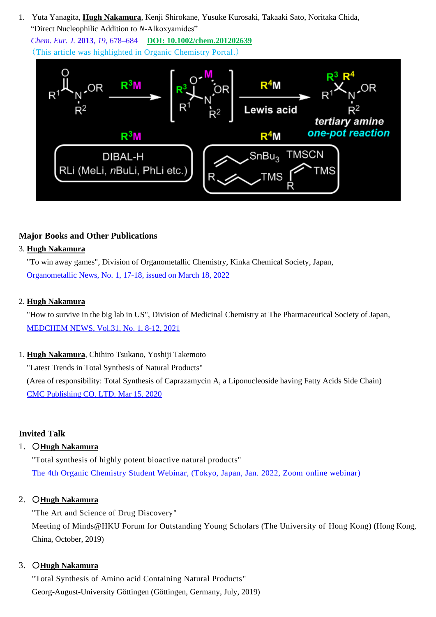1. Yuta Yanagita, **Hugh Nakamura**, Kenji Shirokane, Yusuke Kurosaki, Takaaki Sato, Noritaka Chida, "Direct Nucleophilic Addition to *N*-Alkoxyamides"

*Chem. Eur. J.* **2013**, *19*, 678–684 **[DOI: 10.1002/chem.201202639](http://onlinelibrary.wiley.com/doi/10.1002/chem.201202639/abstract)** (This article was highlighted in Organic Chemistry Portal.)



# **Major Books and Other Publications**

### 3. **Hugh Nakamura**

 "To win away games", Division of Organometallic Chemistry, Kinka Chemical Society, Japan, Organometallic News, [No. 1, 17-18, issued on March 18, 2022](https://kinka.or.jp/om/omnews_archive/2022_01.html)

### 2. **Hugh Nakamura**

 "How to survive in the big lab in US", Division of Medicinal Chemistry at The Pharmaceutical Society of Japan, [MEDCHEM NEWS,](https://www.jstage.jst.go.jp/article/medchem/31/1/31_8/_article/-char/en) Vol.31, No. 1, 8-12, 2021

1. **Hugh Nakamura**, Chihiro Tsukano, Yoshiji Takemoto "Latest Trends in Total Synthesis of Natural Products" (Area of responsibility: Total Synthesis of Caprazamycin A, a Liponucleoside having Fatty Acids Side Chain) [CMC Publishing CO. LTD. Mar 15, 2020](https://www.cmcbooks.co.jp/products/detail.php?product_id=6042) 

# **Invited Talk**

# 1. ○**Hugh Nakamura**

"Total synthesis of highly potent bioactive natural products" [The 4th Organic Chemistry Student Webinar, \(Tokyo, Japan, Jan. 2022, Zoom online webinar\)](https://connpass.com/event/230899/)

#### 2. ○**Hugh Nakamura**

"The Art and Science of Drug Discovery" Meeting of Minds@HKU Forum for Outstanding Young Scholars (The University of Hong Kong) (Hong Kong, China, October, 2019)

#### 3. ○**Hugh Nakamura**

"Total Synthesis of Amino acid Containing Natural Products" Georg-August-University Göttingen (Göttingen, Germany, July, 2019)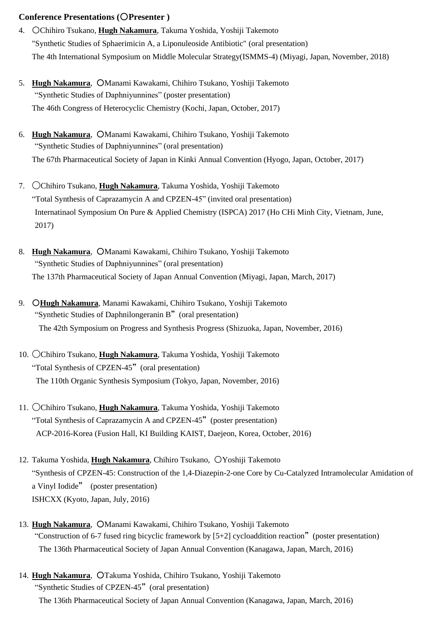#### **Conference Presentations (**○**Presenter )**

- 4. ○Chihiro Tsukano, **Hugh Nakamura**, Takuma Yoshida, Yoshiji Takemoto "Synthetic Studies of Sphaerimicin A, a Liponuleoside Antibiotic" (oral presentation) The 4th International Symposium on Middle Molecular Strategy(ISMMS-4) (Miyagi, Japan, November, 2018)
- 5. **Hugh Nakamura**, ○Manami Kawakami, Chihiro Tsukano, Yoshiji Takemoto "Synthetic Studies of Daphniyunnines" (poster presentation) The 46th Congress of Heterocyclic Chemistry (Kochi, Japan, October, 2017)
- 6. **Hugh Nakamura**, ○Manami Kawakami, Chihiro Tsukano, Yoshiji Takemoto "Synthetic Studies of Daphniyunnines" (oral presentation) The 67th Pharmaceutical Society of Japan in Kinki Annual Convention (Hyogo, Japan, October, 2017)
- 7. 〇Chihiro Tsukano, **Hugh Nakamura**, Takuma Yoshida, Yoshiji Takemoto "Total Synthesis of Caprazamycin A and CPZEN-45" (invited oral presentation) Internatinaol Symposium On Pure & Applied Chemistry (ISPCA) 2017 (Ho CHi Minh City, Vietnam, June, 2017)
- 8. **Hugh Nakamura**, ○Manami Kawakami, Chihiro Tsukano, Yoshiji Takemoto "Synthetic Studies of Daphniyunnines" (oral presentation) The 137th Pharmaceutical Society of Japan Annual Convention (Miyagi, Japan, March, 2017)
- 9. ○**Hugh Nakamura**, Manami Kawakami, Chihiro Tsukano, Yoshiji Takemoto "Synthetic Studies of Daphnilongeranin B"(oral presentation) The 42th Symposium on Progress and Synthesis Progress (Shizuoka, Japan, November, 2016)
- 10. 〇Chihiro Tsukano, **Hugh Nakamura**, Takuma Yoshida, Yoshiji Takemoto "Total Synthesis of CPZEN-45" (oral presentation) The 110th Organic Synthesis Symposium (Tokyo, Japan, November, 2016)
- 11. 〇Chihiro Tsukano, **Hugh Nakamura**, Takuma Yoshida, Yoshiji Takemoto "Total Synthesis of Caprazamycin A and CPZEN-45"(poster presentation) ACP-2016-Korea (Fusion Hall, KI Building KAIST, Daejeon, Korea, October, 2016)
- 12. Takuma Yoshida, **Hugh Nakamura**, Chihiro Tsukano, ○Yoshiji Takemoto "Synthesis of CPZEN-45: Construction of the 1,4-Diazepin-2-one Core by Cu-Catalyzed Intramolecular Amidation of a Vinyl Iodide" (poster presentation) ISHCXX (Kyoto, Japan, July, 2016)
- 13. **Hugh Nakamura**, ○Manami Kawakami, Chihiro Tsukano, Yoshiji Takemoto "Construction of 6-7 fused ring bicyclic framework by [5+2] cycloaddition reaction"(poster presentation) The 136th Pharmaceutical Society of Japan Annual Convention (Kanagawa, Japan, March, 2016)
- 14. **Hugh Nakamura**, ○Takuma Yoshida, Chihiro Tsukano, Yoshiji Takemoto "Synthetic Studies of CPZEN-45" (oral presentation) The 136th Pharmaceutical Society of Japan Annual Convention (Kanagawa, Japan, March, 2016)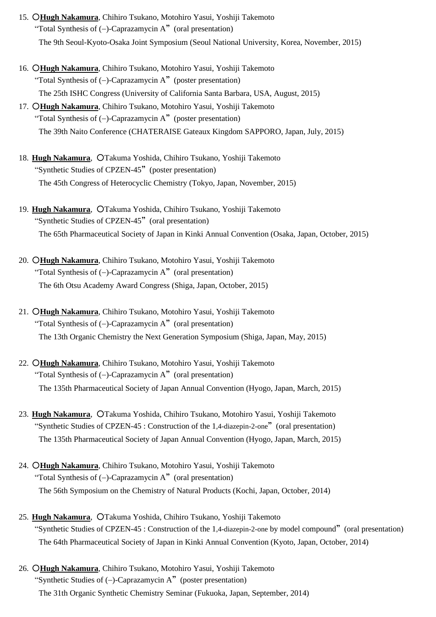- 15. ○**Hugh Nakamura**, Chihiro Tsukano, Motohiro Yasui, Yoshiji Takemoto "Total Synthesis of (−)-Caprazamycin A"(oral presentation) The 9th Seoul-Kyoto-Osaka Joint Symposium (Seoul National University, Korea, November, 2015)
- 16. ○**Hugh Nakamura**, Chihiro Tsukano, Motohiro Yasui, Yoshiji Takemoto "Total Synthesis of (−)-Caprazamycin A"(poster presentation) The 25th ISHC Congress (University of California Santa Barbara, USA, August, 2015)
- 17. ○**Hugh Nakamura**, Chihiro Tsukano, Motohiro Yasui, Yoshiji Takemoto "Total Synthesis of (−)-Caprazamycin A"(poster presentation) The 39th Naito Conference (CHATERAISE Gateaux Kingdom SAPPORO, Japan, July, 2015)
- 18. **Hugh Nakamura**, OTakuma Yoshida, Chihiro Tsukano, Yoshiji Takemoto "Synthetic Studies of CPZEN-45" (poster presentation) The 45th Congress of Heterocyclic Chemistry (Tokyo, Japan, November, 2015)
- 19. **Hugh Nakamura**, ○Takuma Yoshida, Chihiro Tsukano, Yoshiji Takemoto "Synthetic Studies of CPZEN-45" (oral presentation) The 65th Pharmaceutical Society of Japan in Kinki Annual Convention (Osaka, Japan, October, 2015)
- 20. ○**Hugh Nakamura**, Chihiro Tsukano, Motohiro Yasui, Yoshiji Takemoto "Total Synthesis of (−)-Caprazamycin A"(oral presentation) The 6th Otsu Academy Award Congress (Shiga, Japan, October, 2015)
- 21. ○**Hugh Nakamura**, Chihiro Tsukano, Motohiro Yasui, Yoshiji Takemoto "Total Synthesis of (−)-Caprazamycin A"(oral presentation) The 13th Organic Chemistry the Next Generation Symposium (Shiga, Japan, May, 2015)
- 22. ○**Hugh Nakamura**, Chihiro Tsukano, Motohiro Yasui, Yoshiji Takemoto "Total Synthesis of (−)-Caprazamycin A"(oral presentation) The 135th Pharmaceutical Society of Japan Annual Convention (Hyogo, Japan, March, 2015)
- 23. Hugh Nakamura, OTakuma Yoshida, Chihiro Tsukano, Motohiro Yasui, Yoshiji Takemoto "Synthetic Studies of CPZEN-45 : Construction of the 1,4-diazepin-2-one"(oral presentation) The 135th Pharmaceutical Society of Japan Annual Convention (Hyogo, Japan, March, 2015)
- 24. ○**Hugh Nakamura**, Chihiro Tsukano, Motohiro Yasui, Yoshiji Takemoto "Total Synthesis of (−)-Caprazamycin A"(oral presentation) The 56th Symposium on the Chemistry of Natural Products (Kochi, Japan, October, 2014)
- 25. **Hugh Nakamura**, ○Takuma Yoshida, Chihiro Tsukano, Yoshiji Takemoto "Synthetic Studies of CPZEN-45 : Construction of the 1,4-diazepin-2-one by model compound"(oral presentation) The 64th Pharmaceutical Society of Japan in Kinki Annual Convention (Kyoto, Japan, October, 2014)
- 26. ○**Hugh Nakamura**, Chihiro Tsukano, Motohiro Yasui, Yoshiji Takemoto "Synthetic Studies of (−)-Caprazamycin A"(poster presentation) The 31th Organic Synthetic Chemistry Seminar (Fukuoka, Japan, September, 2014)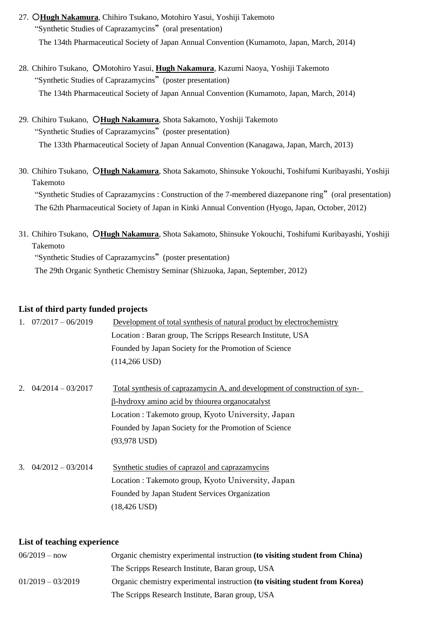- 27. ○**Hugh Nakamura**, Chihiro Tsukano, Motohiro Yasui, Yoshiji Takemoto "Synthetic Studies of Caprazamycins" (oral presentation) The 134th Pharmaceutical Society of Japan Annual Convention (Kumamoto, Japan, March, 2014)
- 28. Chihiro Tsukano, ○Motohiro Yasui, **Hugh Nakamura**, Kazumi Naoya, Yoshiji Takemoto "Synthetic Studies of Caprazamycins"(poster presentation) The 134th Pharmaceutical Society of Japan Annual Convention (Kumamoto, Japan, March, 2014)
- 29. Chihiro Tsukano, ○**Hugh Nakamura**, Shota Sakamoto, Yoshiji Takemoto "Synthetic Studies of Caprazamycins"(poster presentation) The 133th Pharmaceutical Society of Japan Annual Convention (Kanagawa, Japan, March, 2013)
- 30. Chihiro Tsukano, ○**Hugh Nakamura**, Shota Sakamoto, Shinsuke Yokouchi, Toshifumi Kuribayashi, Yoshiji Takemoto "Synthetic Studies of Caprazamycins : Construction of the 7-membered diazepanone ring"(oral presentation) The 62th Pharmaceutical Society of Japan in Kinki Annual Convention (Hyogo, Japan, October, 2012)
- 31. Chihiro Tsukano, ○**Hugh Nakamura**, Shota Sakamoto, Shinsuke Yokouchi, Toshifumi Kuribayashi, Yoshiji Takemoto "Synthetic Studies of Caprazamycins"(poster presentation)

The 29th Organic Synthetic Chemistry Seminar (Shizuoka, Japan, September, 2012)

### **List of third party funded projects**

|             | 1. $07/2017 - 06/2019$ | Development of total synthesis of natural product by electrochemistry      |
|-------------|------------------------|----------------------------------------------------------------------------|
|             |                        | Location: Baran group, The Scripps Research Institute, USA                 |
|             |                        | Founded by Japan Society for the Promotion of Science                      |
|             |                        | $(114, 266$ USD)                                                           |
|             |                        |                                                                            |
| $2^{\circ}$ | $04/2014 - 03/2017$    | Total synthesis of caprazamycin A, and development of construction of syn- |
|             |                        | <u>B-hydroxy amino acid by thiourea organocatalyst</u>                     |
|             |                        | Location: Takemoto group, Kyoto University, Japan                          |
|             |                        | Founded by Japan Society for the Promotion of Science                      |
|             |                        | $(93,978$ USD)                                                             |
|             |                        |                                                                            |
| 3.          | $04/2012 - 03/2014$    | Synthetic studies of caprazol and caprazamycins                            |
|             |                        | Location: Takemoto group, Kyoto University, Japan                          |
|             |                        | Founded by Japan Student Services Organization                             |
|             |                        | $(18, 426 \text{ USD})$                                                    |

#### **List of teaching experience**

| $06/2019 - now$     | Organic chemistry experimental instruction (to visiting student from China) |
|---------------------|-----------------------------------------------------------------------------|
|                     | The Scripps Research Institute, Baran group, USA                            |
| $01/2019 - 03/2019$ | Organic chemistry experimental instruction (to visiting student from Korea) |
|                     | The Scripps Research Institute, Baran group, USA                            |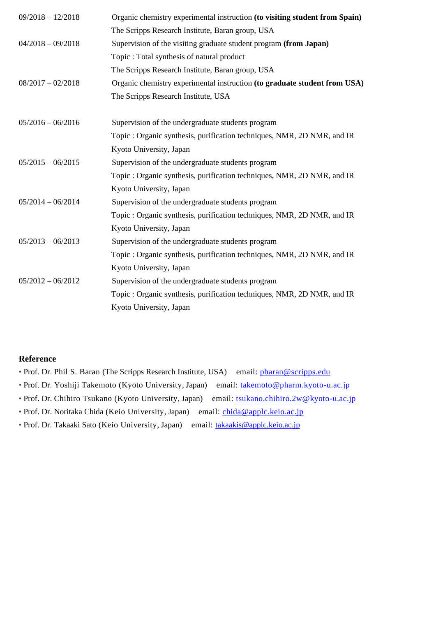| Organic chemistry experimental instruction (to visiting student from Spain) |
|-----------------------------------------------------------------------------|
| The Scripps Research Institute, Baran group, USA                            |
| Supervision of the visiting graduate student program (from Japan)           |
| Topic : Total synthesis of natural product                                  |
| The Scripps Research Institute, Baran group, USA                            |
| Organic chemistry experimental instruction (to graduate student from USA)   |
| The Scripps Research Institute, USA                                         |
| Supervision of the undergraduate students program                           |
| Topic : Organic synthesis, purification techniques, NMR, 2D NMR, and IR     |
| Kyoto University, Japan                                                     |
| Supervision of the undergraduate students program                           |
| Topic: Organic synthesis, purification techniques, NMR, 2D NMR, and IR      |
| Kyoto University, Japan                                                     |
| Supervision of the undergraduate students program                           |
| Topic: Organic synthesis, purification techniques, NMR, 2D NMR, and IR      |
| Kyoto University, Japan                                                     |
| Supervision of the undergraduate students program                           |
| Topic: Organic synthesis, purification techniques, NMR, 2D NMR, and IR      |
| Kyoto University, Japan                                                     |
| Supervision of the undergraduate students program                           |
| Topic : Organic synthesis, purification techniques, NMR, 2D NMR, and IR     |
| Kyoto University, Japan                                                     |
|                                                                             |

#### **Reference**

- Prof. Dr. Phil S. Baran (The Scripps Research Institute, USA) email: pharan@scripps.edu
- Prof. Dr. Yoshiji Takemoto (Kyoto University, Japan) email: [takemoto@pharm.kyoto-u.ac.jp](mailto:takemoto@pharm.kyoto-u.ac.jp)
- Prof. Dr. Chihiro Tsukano (Kyoto University, Japan) email: [tsukano.chihiro.2w@kyoto-u.ac.jp](mailto:tsukano.chihiro.2w@kyoto-u.ac.jp)
- Prof. Dr. Noritaka Chida (Keio University, Japan) email: *chida@applc.keio.ac.jp*
- Prof. Dr. Takaaki Sato (Keio University, Japan) email: [takaakis@applc.keio.ac.jp](mailto:takaakis@applc.keio.ac.jp)